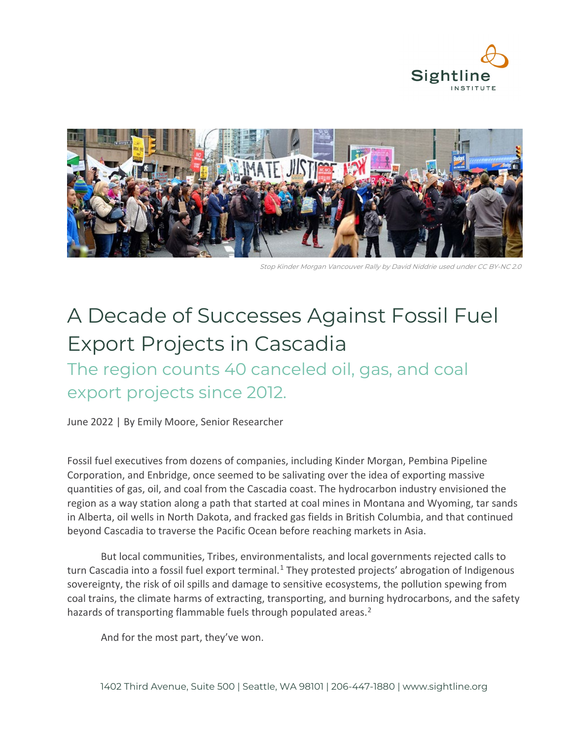



Stop Kinder Morgan Vancouver Rally by David Niddrie used under CC BY-NC 2.0

# A Decade of Successes Against Fossil Fuel Export Projects in Cascadia

The region counts 40 canceled oil, gas, and coal export projects since 2012.

June 2022 | By Emily Moore, Senior Researcher

Fossil fuel executives from dozens of companies, including Kinder Morgan, Pembina Pipeline Corporation, and Enbridge, once seemed to be salivating over the idea of exporting massive quantities of gas, oil, and coal from the Cascadia coast. The hydrocarbon industry envisioned the region as a way station along a path that started at coal mines in Montana and Wyoming, tar sands in Alberta, oil wells in North Dakota, and fracked gas fields in British Columbia, and that continued beyond Cascadia to traverse the Pacific Ocean before reaching markets in Asia.

But [local communities, Tribes, environmentalists,](https://www.sightline.org/series/thin-green-line-activism/) and local governments rejected calls to turn Cascadia into a fossil fuel export terminal.<sup>[1](#page-10-0)</sup> They protested projects' abrogation of Indigenous sovereignty, the risk of oil spills and damage to sensitive ecosystems, the pollution spewing from coal trains, the climate harms of extracting, transporting, and burning hydrocarbons, and the safety hazards of transporting flammable fuels through populated areas.<sup>[2](#page-10-1)</sup>

And for the most part, they've won.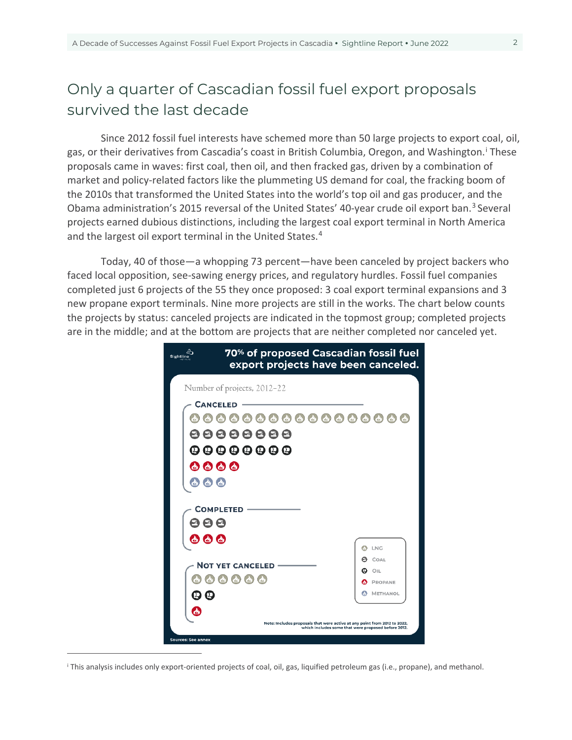# Only a quarter of Cascadian fossil fuel export proposals survived the last decade

Since 2012 fossil fuel interests have schemed more than 50 large projects to export coal, oil, gas, or the[i](#page-1-0)r derivatives from Cascadia's coast in British Columbia, Oregon, and Washington.<sup>i</sup> These proposals came in waves: first coal, then oil, and then fracked gas, driven by a combination of market and policy-related factors like the plummeting US demand for coal, the fracking boom of the 2010s that transformed the United States into the world's top oil and gas producer, and the Obama administration's 2015 reversal of the United States' 40-year crude oil export ban.[3](#page-10-2) Several projects earned dubious distinctions, including the largest coal export terminal in North America and the largest oil export terminal in the United States.<sup>[4](#page-11-0)</sup>

Today, 40 of those—a whopping 73 percent—have been canceled by project backers who faced local opposition, see-sawing energy prices, and regulatory hurdles. Fossil fuel companies completed just 6 projects of the 55 they once proposed: 3 coal export terminal expansions and 3 new propane export terminals. Nine more projects are still in the works. The chart below counts the projects by status: canceled projects are indicated in the topmost group; completed projects are in the middle; and at the bottom are projects that are neither completed nor canceled yet.

| 70% of proposed Cascadian fossil fuel<br>Sightline<br>export projects have been canceled. |                                                                                                                                  |
|-------------------------------------------------------------------------------------------|----------------------------------------------------------------------------------------------------------------------------------|
| Number of projects, 2012-22                                                               |                                                                                                                                  |
| <b>CANCELED</b>                                                                           |                                                                                                                                  |
| $\left( \mathbf{r}\right)$<br>$\left( \frac{1}{2} \right)$                                | $\mathbf{A}$                                                                                                                     |
| 8888888                                                                                   |                                                                                                                                  |
| 00000000                                                                                  |                                                                                                                                  |
| <b>8888</b>                                                                               |                                                                                                                                  |
|                                                                                           |                                                                                                                                  |
|                                                                                           |                                                                                                                                  |
| <b>COMPLETED</b>                                                                          |                                                                                                                                  |
| 88                                                                                        |                                                                                                                                  |
|                                                                                           |                                                                                                                                  |
|                                                                                           | ♤<br>LNG                                                                                                                         |
| <b>NOT YET CANCELED</b>                                                                   | COAL<br>മ                                                                                                                        |
|                                                                                           | OIL<br>PROPANE                                                                                                                   |
| മ മ                                                                                       | <b>METHANOL</b><br>ω                                                                                                             |
|                                                                                           |                                                                                                                                  |
|                                                                                           | Note: Includes proposals that were active at any point from 2012 to 2022,<br>which includes some that were proposed before 2012. |
| <b>Sources: See annex</b>                                                                 |                                                                                                                                  |

 $\overline{a}$ 

<span id="page-1-0"></span><sup>i</sup> This analysis includes only export-oriented projects of coal, oil, gas, liquified petroleum gas (i.e., propane), and methanol.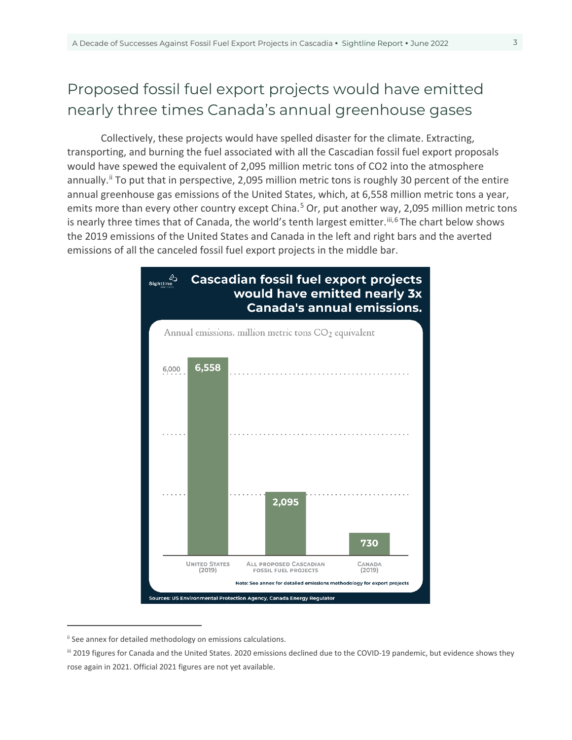# Proposed fossil fuel export projects would have emitted nearly three times Canada's annual greenhouse gases

Collectively, these projects would have spelled disaster for the climate. Extracting, transporting, and burning the fuel associated with all the Cascadian fossil fuel export proposals would have spewed the equivalent of 2,095 million metric tons of CO2 into the atmosphere annually.<sup>[ii](#page-2-0)</sup> To put that in perspective, 2,095 million metric tons is roughly 30 percent of the entire annual greenhouse gas emissions of the United States, which, at 6,558 million metric tons a year, emits more than every other country except China.<sup>[5](#page-11-1)</sup> Or, put another way, 2,095 million metric tons is nearly three times that of Canada, the world's tenth largest emitter.<sup>[iii,](#page-2-1)[6](#page-11-2)</sup> The chart below shows the 2019 emissions of the United States and Canada in the left and right bars and the averted emissions of all the canceled fossil fuel export projects in the middle bar.



<span id="page-2-0"></span>ii See annex for detailed methodology on emissions calculations.

 $\overline{a}$ 

<span id="page-2-1"></span>iii 2019 figures for Canada and the United States. 2020 emissions declined due to the COVID-19 pandemic, but evidence shows they rose again in 2021. Official 2021 figures are not yet available.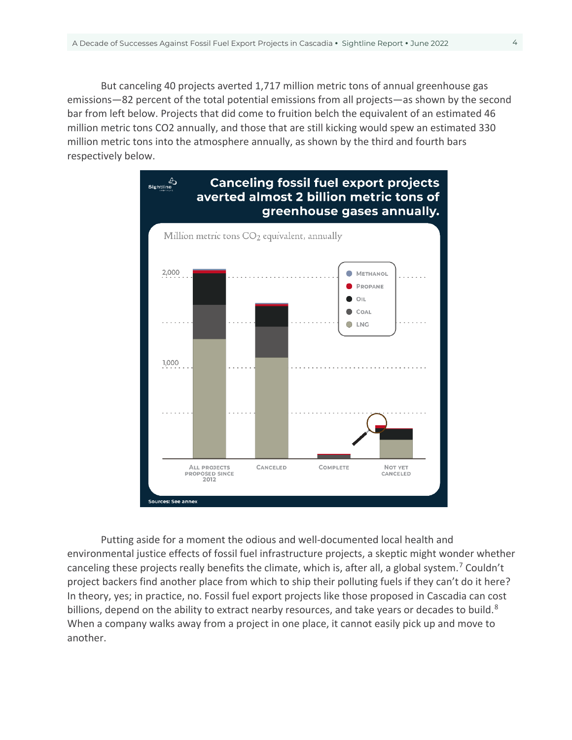But canceling 40 projects averted 1,717 million metric tons of annual greenhouse gas emissions—82 percent of the total potential emissions from all projects—as shown by the second bar from left below. Projects that did come to fruition belch the equivalent of an estimated 46 million metric tons CO2 annually, and those that are still kicking would spew an estimated 330 million metric tons into the atmosphere annually, as shown by the third and fourth bars respectively below.



Putting aside for a moment the odious and well-documented local health and environmental justice effects of fossil fuel infrastructure projects, a skeptic might wonder whether canceling these projects really benefits the climate, which is, after all, a global system.<sup>[7](#page-11-3)</sup> Couldn't project backers find another place from which to ship their polluting fuels if they can't do it here? In theory, yes; in practice, no. Fossil fuel export projects like those proposed in Cascadia can cost billions, depend on the ability to extract nearby resources, and take years or decades to build. $8$ When a company walks away from a project in one place, it cannot easily pick up and move to another.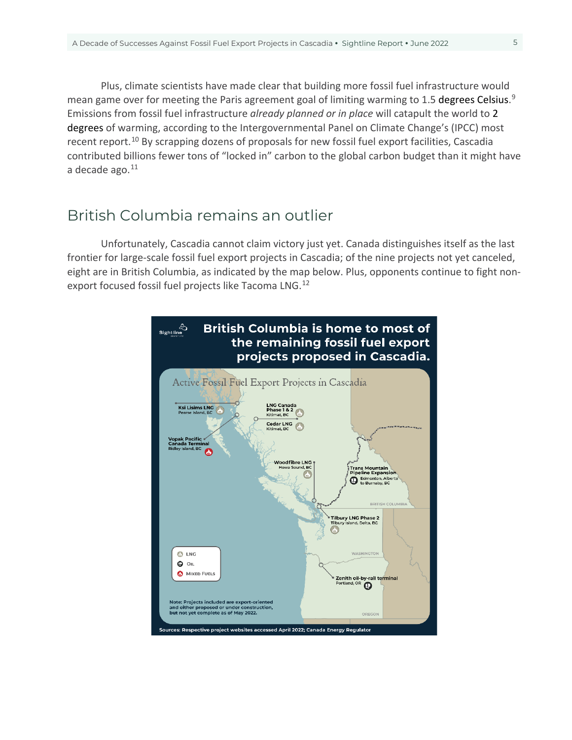Plus, climate scientists have made clear that building more fossil fuel infrastructure would mean game over for meeting the Paris agreement goal of limiting warming to 1.5 degrees Celsius.<sup>[9](#page-11-5)</sup> Emissions from fossil fuel infrastructure *already planned or in place* will catapult the world to 2 degrees of warming, according to the Intergovernmental Panel on Climate Change's (IPCC) most recent report.<sup>[10](#page-11-6)</sup> By scrapping dozens of proposals for new fossil fuel export facilities, Cascadia contributed billions fewer tons of "locked in" carbon to the global carbon budget than it might have a decade ago. $11$ 

### British Columbia remains an outlier

Unfortunately, Cascadia cannot claim victory just yet. Canada distinguishes itself as the last frontier for large-scale fossil fuel export projects in Cascadia; of the nine projects not yet canceled, eight are in British Columbia, as indicated by the map below. Plus, opponents continue to fight non-export focused fossil fuel projects like Tacoma LNG.<sup>[12](#page-11-8)</sup>

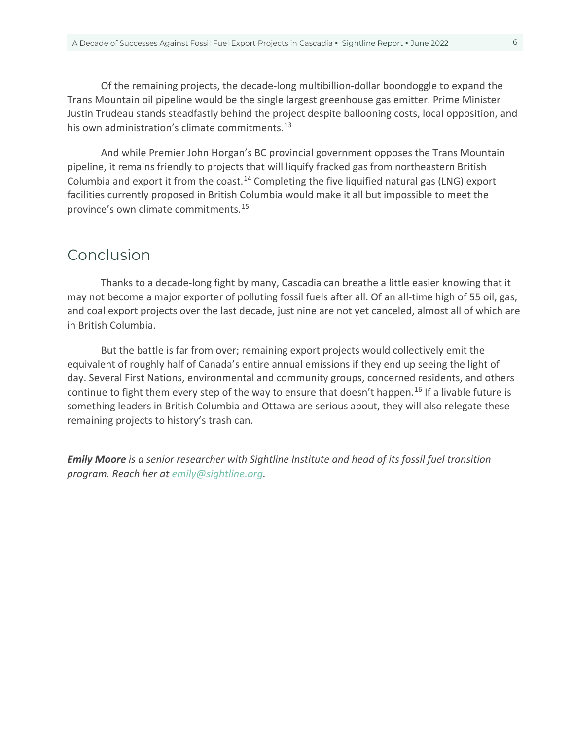Of the remaining projects, the decade-long multibillion-dollar boondoggle to expand the Trans Mountain oil pipeline would be the single largest greenhouse gas emitter. Prime Minister Justin Trudeau stands steadfastly behind the project despite ballooning costs, local opposition, and his own administration's climate commitments.<sup>[13](#page-11-9)</sup>

And while Premier John Horgan's BC provincial government opposes the Trans Mountain pipeline, it remains friendly to projects that will liquify fracked gas from northeastern British Columbia and export it from the coast.<sup>[14](#page-11-10)</sup> Completing the five liquified natural gas (LNG) export facilities currently proposed in British Columbia would make it all but impossible to meet the province's own climate commitments. [15](#page-11-11)

### Conclusion

Thanks to a decade-long fight by many, Cascadia can breathe a little easier knowing that it may not become a major exporter of polluting fossil fuels after all. Of an all-time high of 55 oil, gas, and coal export projects over the last decade, just nine are not yet canceled, almost all of which are in British Columbia.

But the battle is far from over; remaining export projects would collectively emit the equivalent of roughly half of Canada's entire annual emissions if they end up seeing the light of day. Several First Nations, environmental and community groups, concerned residents, and others continue to fight them every step of the way to ensure that doesn't happen.<sup>[16](#page-11-12)</sup> If a livable future is something leaders in British Columbia and Ottawa are serious about, they will also relegate these remaining projects to history's trash can.

*Emily Moore is a senior researcher with Sightline Institute and head of its fossil fuel transition program. Reach her at [emily@sightline.org.](mailto:emily@sightline.org)*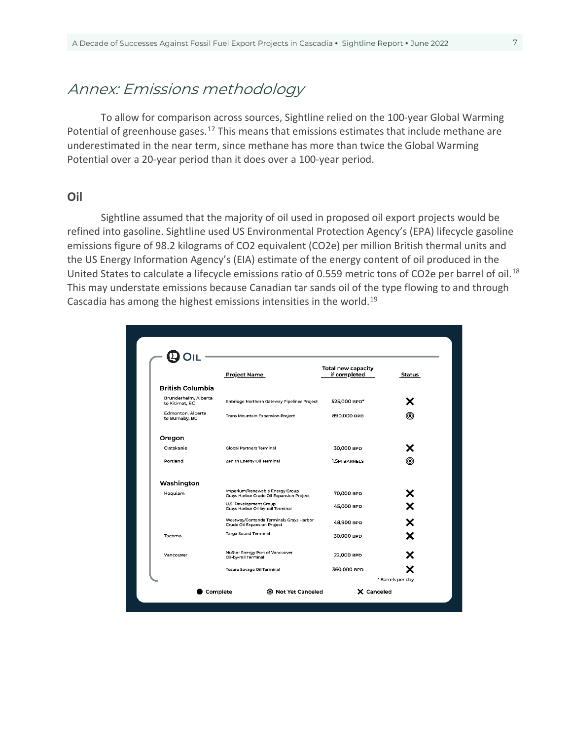## Annex: Emissions methodology

To allow for comparison across sources, Sightline relied on the 100-year Global Warming Potential of greenhouse gases.<sup>[17](#page-11-13)</sup> This means that emissions estimates that include methane are underestimated in the near term, since methane has more than [twice](https://www.sightline.org/2019/02/12/methane-climate-change-co2-on-steroids/) the Global Warming Potential over a 20-year period than it does over a 100-year period.

#### **Oil**

Sightline assumed that the majority of oil used in proposed oil export projects would be refined into gasoline. Sightline used US Environmental Protection Agency's (EPA) lifecycle gasoline emissions figure of 98.2 kilograms of CO2 equivalent (CO2e) per million British thermal units and the US Energy Information Agency's (EIA) estimate of the energy content of oil produced in the United States to calculate a lifecycle emissions ratio of 0.559 metric tons of CO2e per barrel of oil.<sup>[18](#page-12-0)</sup> This may understate emissions because Canadian tar sands oil of the type flowing to and through Cascadia has among the highest emissions intensities in the world.[19](#page-12-1)

|                                        | <b>Project Name</b>                                                         | <b>Total new capacity</b><br>if completed | Status |
|----------------------------------------|-----------------------------------------------------------------------------|-------------------------------------------|--------|
| <b>British Columbia</b>                |                                                                             |                                           |        |
| Brunderheim, Alberta<br>to Kitimat, BC | Enbridge Northern Gateway Pipelines Project                                 | 525,000 BPD*                              | х      |
| Edmonton, Alberta<br>to Burnaby, BC    | <b>Trans Mountain Expansion Project</b>                                     | 890,000 вро                               | ◉      |
| Oregon                                 |                                                                             |                                           |        |
| Clatskanie                             | <b>Global Partners Terminal</b>                                             | 30,000 BPD                                | х      |
| Portland                               | Zenith Energy Oil Terminal                                                  | <b>1.5M BARRELS</b>                       | 0      |
| Washington                             |                                                                             |                                           |        |
| Hoquiam                                | Imperium/Renewable Energy Group<br>Grays Harbor Crude Oil Expansion Project | 70,000 BPD                                | х      |
|                                        | U.S. Development Group<br>Grays Harbor Oil-by-rail Terminal                 | 45,000 BPD                                | X      |
|                                        | Westway/Contanda Terminals Grays Harbor<br>Crude Oil Expansion Project      | 48,900 BPD                                | ×      |
| Tacoma                                 | Targa Sound Terminal                                                        | 30,000 BPD                                | х      |
| Vancouver                              | NuStar Energy Port of Vancouver<br>Oil-by-rail Terminal                     | 22,000 BPD                                | х      |
|                                        | <b>Tesoro Savage Oil Terminal</b>                                           | 360,000 BPD                               |        |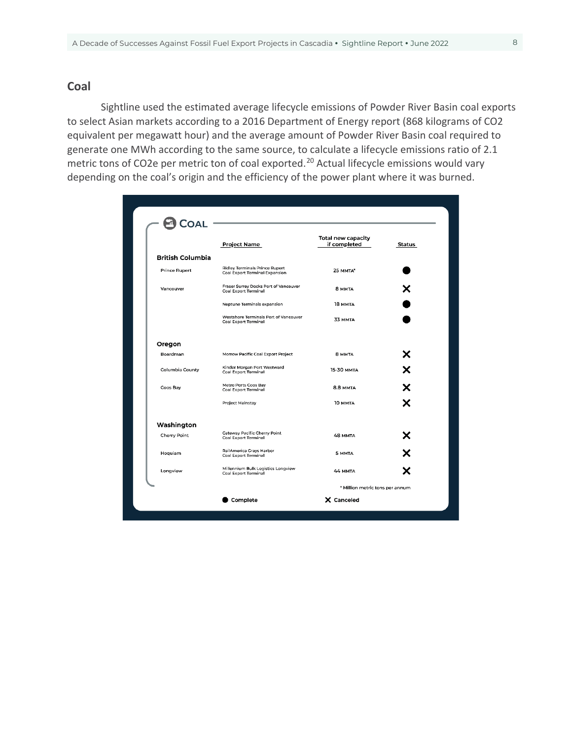#### **Coal**

Sightline used the estimated average lifecycle emissions of Powder River Basin coal exports to select Asian markets according to a 2016 Department of Energy report (868 kilograms of CO2 equivalent per megawatt hour) and the average amount of Powder River Basin coal required to generate one MWh according to the same source, to calculate a lifecycle emissions ratio of 2.1 metric tons of CO2e per metric ton of coal exported.<sup>[20](#page-12-2)</sup> Actual lifecycle emissions would vary depending on the coal's origin and the efficiency of the power plant where it was burned.

|                         | <b>Project Name</b>                                                  | <b>Total new capacity</b><br>if completed | Status |
|-------------------------|----------------------------------------------------------------------|-------------------------------------------|--------|
| <b>British Columbia</b> |                                                                      |                                           |        |
| <b>Prince Rupert</b>    | Ridley Terminals Prince Rupert<br>Coal Export Terminal Expansion     | 25 MMTA*                                  |        |
| Vancouver               | Fraser Surrey Docks Port of Vancouver<br><b>Coal Export Terminal</b> | 8 MMTA                                    |        |
|                         | Neptune Terminals expansion                                          | 18 MMTA                                   |        |
|                         | Westshore Terminals Port of Vancouver<br><b>Coal Export Terminal</b> | 33 MMTA                                   |        |
| Oregon                  |                                                                      |                                           |        |
| Boardman                | Morrow Pacific Coal Export Project                                   | 8 MMTA                                    | х      |
| Columbia County         | Kinder Morgan Port Westward<br>Coal Export Terminal                  | <b>15-30 MMTA</b>                         | X      |
| Coos Bay                | Metro Ports Coos Bay<br>Coal Export Terminal                         | 8.8 MMTA                                  | X      |
|                         | Project Mainstay                                                     | 10 MMTA                                   |        |
| Washington              |                                                                      |                                           |        |
| Cherry Point            | <b>Gateway Pacific Cherry Point</b><br><b>Coal Export Terminal</b>   | <b>48 MMTA</b>                            | х      |
| Hoquiam                 | RailAmerica Grays Harbor<br><b>Coal Export Terminal</b>              | 5 MMTA                                    |        |
| Longview                | Millennium Bulk Logistics Longview<br><b>Coal Export Terminal</b>    | 44 MMTA                                   |        |
|                         |                                                                      | * Million metric tons per annum           |        |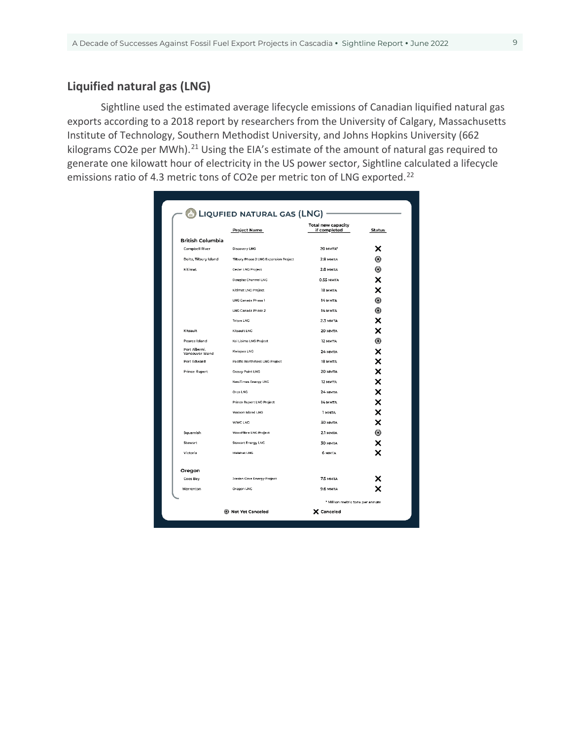#### **Liquified natural gas (LNG)**

Sightline used the estimated average lifecycle emissions of Canadian liquified natural gas exports according to a 2018 report by researchers from the University of Calgary, Massachusetts Institute of Technology, Southern Methodist University, and Johns Hopkins University (662 kilograms CO2e per MWh).<sup>[21](#page-12-3)</sup> Using the EIA's estimate of the amount of natural gas required to generate one kilowatt hour of electricity in the US power sector, Sightline calculated a lifecycle emissions ratio of 4.3 metric tons of CO2e per metric ton of LNG exported.<sup>[22](#page-12-4)</sup>

|                                   | <b>Project Name</b>                   | <b>Total new capacity</b><br>if completed | Status            |
|-----------------------------------|---------------------------------------|-------------------------------------------|-------------------|
| <b>British Columbia</b>           |                                       |                                           |                   |
| Campbell River                    | Discovery LNG                         | <b>20 MMTA*</b>                           | x                 |
| Delta, Tilbury Island             | Tilbury Phase 2 LNG Expansion Project | 2.8 MMTA                                  | ◉                 |
| Kitimat                           | Cedar LNG Project                     | 2.8 MMTA                                  | 0                 |
|                                   | Douglas Channel LNG                   | 0.55 MMTA                                 | ×                 |
|                                   | Kitimat LNG Project                   | 18 MMTA                                   | ×                 |
|                                   | LNG Canada Phase 1                    | 14 MMTA                                   | 0                 |
|                                   | LNG Canada Phase 2                    | 14 MMTA                                   | 0                 |
|                                   | <b>Triton LNC</b>                     | 2.3 MMTA                                  | ×                 |
| Kitsault                          | Kitsault LNG                          | 20 MMTA                                   | ×                 |
| Pearce Island                     | Ksi Lisims LNG Project                | <b>12 MMTA</b>                            | 0                 |
| Port Alberni,<br>Vancouver Island | Kwispaa LNG                           | 24 MMTA                                   | ×                 |
| Port Edward                       | Pacific NorthWest LNG Project         | 18 MMTA                                   |                   |
| <b>Prince Rupert</b>              | Grassy Point LNG                      | 20 MMTA                                   | $\times$ $\times$ |
|                                   | NewTimes Energy LNG                   | 12 MMTA                                   |                   |
|                                   | Orca LNG                              | 24 MMTA                                   | ×                 |
|                                   | Prince Rupert LNG Project             | 14 MMTA                                   | ×                 |
|                                   | Watson Island LNG                     | 1 MMTA                                    | ×                 |
|                                   | <b>WWC LNG</b>                        | 30 MMTA                                   | ×                 |
| Squamish                          | Woodfibre LNG Project                 | 2.1 MMTA                                  | $\circledcirc$    |
| Stewart                           | Stewart Energy LNG                    | 30 MMTA                                   | ×                 |
| Victoria                          | Malahat LNG                           | 6 MMTA                                    | ×                 |
| Oregon                            |                                       |                                           |                   |
| Coos Bay                          | <b>Jordan Cove Energy Project</b>     | 7.5 MMTA                                  |                   |
| Warrenton                         | Oregon LNG                            | <b>9.6 MMTA</b>                           |                   |
|                                   |                                       | * Million metric tons per annum           |                   |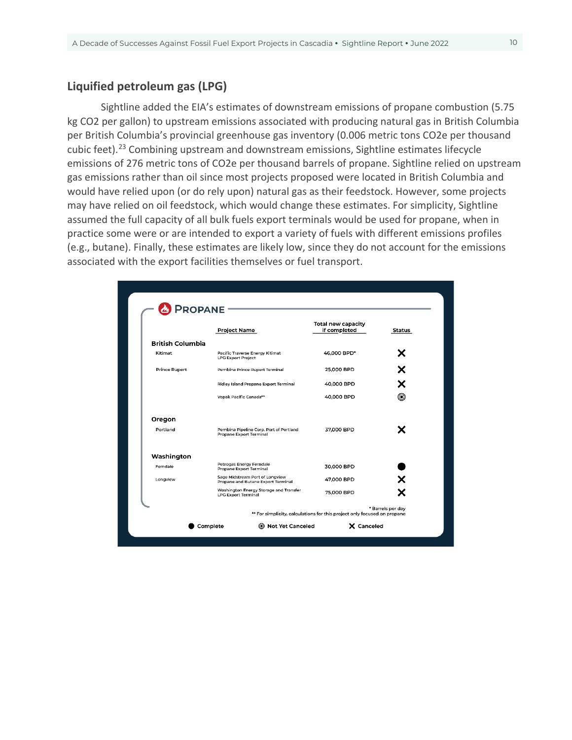#### **Liquified petroleum gas (LPG)**

Sightline added the EIA's estimates of downstream emissions of propane combustion (5.75 kg CO2 per gallon) to upstream emissions associated with producing natural gas in British Columbia per British Columbia's provincial greenhouse gas inventory (0.006 metric tons CO2e per thousand cubic feet).[23](#page-12-5) Combining upstream and downstream emissions, Sightline estimates lifecycle emissions of 276 metric tons of CO2e per thousand barrels of propane. Sightline relied on upstream gas emissions rather than oil since most projects proposed were located in British Columbia and would have relied upon (or do rely upon) natural gas as their feedstock. However, some projects may have relied on oil feedstock, which would change these estimates. For simplicity, Sightline assumed the full capacity of all bulk fuels export terminals would be used for propane, when in practice some were or are intended to export a variety of fuels with different emissions profiles (e.g., butane). Finally, these estimates are likely low, since they do not account for the emissions associated with the export facilities themselves or fuel transport.

|                         | <b>Project Name</b>                                                   | <b>Total new capacity</b><br>if completed | Status |
|-------------------------|-----------------------------------------------------------------------|-------------------------------------------|--------|
| <b>British Columbia</b> |                                                                       |                                           |        |
| Kitimat                 | Pacific Traverse Energy Kitimat<br><b>LPG Export Project</b>          | 46,000 BPD*                               | х      |
| <b>Prince Rupert</b>    | Pembina Prince Rupert Terminal                                        | 25,000 BPD                                | x      |
|                         | Ridley Island Propane Export Terminal                                 | 40,000 BPD                                | ×      |
|                         | Vopak Pacific Canada**                                                | 40,000 BPD                                | ◉      |
| Oregon                  |                                                                       |                                           |        |
| Portland                | Pembina Pipeline Corp. Port of Portland<br>Propane Export Terminal    | 37.000 BPD                                | х      |
| Washington              |                                                                       |                                           |        |
| Ferndale                | Petrogas Energy Ferndale<br>Propane Export Terminal                   | 30,000 BPD                                |        |
| Longview                | Sage Midstream Port of Longview<br>Propane and Butane Export Terminal | 47,000 BPD                                | ×      |
|                         | Washington Energy Storage and Transfer<br><b>LPG Export Terminal</b>  | 75,000 BPD                                | x      |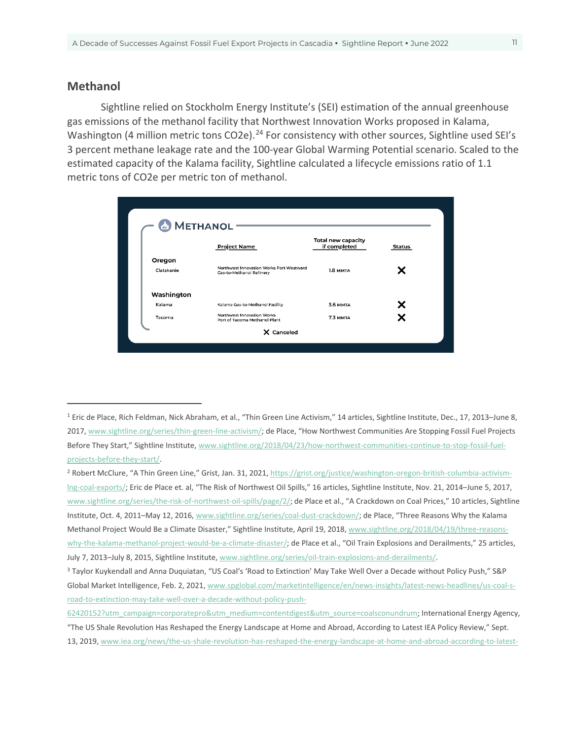#### **Methanol**

 $\overline{a}$ 

Sightline relied on Stockholm Energy Institute's (SEI) estimation of the annual greenhouse gas emissions of the methanol facility that Northwest Innovation Works proposed in Kalama, Washington (4 million metric tons CO2e).<sup>[24](#page-12-6)</sup> For consistency with other sources, Sightline used SEI's 3 percent methane leakage rate and the 100-year Global Warming Potential scenario. Scaled to the estimated capacity of the Kalama facility, Sightline calculated a lifecycle emissions ratio of 1.1 metric tons of CO2e per metric ton of methanol.

|            | <b>&amp;</b> METHANOL                                                       |                                           |        |
|------------|-----------------------------------------------------------------------------|-------------------------------------------|--------|
|            | <b>Project Name</b>                                                         | <b>Total new capacity</b><br>if completed | Status |
| Oregon     |                                                                             |                                           |        |
| Clatskanie | Northwest Innovation Works Port Westward<br><b>Gas-to-Methanol Refinery</b> | 1.8 MMTA                                  |        |
| Washington |                                                                             |                                           |        |
| Kalama     | Kalama Gas-to-Methanol Facility                                             | <b>3.6 MMTA</b>                           | х      |
| Tacoma     | Northwest Innovation Works<br>Port of Tacoma Methanol Plant                 | 7.3 MMTA                                  |        |

<span id="page-10-0"></span><sup>&</sup>lt;sup>1</sup> Eric de Place, Rich Feldman, Nick Abraham, et al., "Thin Green Line Activism," 14 articles, Sightline Institute, Dec., 17, 2013-June 8, 2017[, www.sightline.org/series/thin-green-line-activism/;](http://www.sightline.org/series/thin-green-line-activism/) de Place, "How Northwest Communities Are Stopping Fossil Fuel Projects Before They Start," Sightline Institute[, www.sightline.org/2018/04/23/how-northwest-communities-continue-to-stop-fossil-fuel](http://www.sightline.org/2018/04/23/how-northwest-communities-continue-to-stop-fossil-fuel-projects-before-they-start/)[projects-before-they-start/.](http://www.sightline.org/2018/04/23/how-northwest-communities-continue-to-stop-fossil-fuel-projects-before-they-start/)

<span id="page-10-1"></span><sup>&</sup>lt;sup>2</sup> Robert McClure, "A Thin Green Line," Grist, Jan. 31, 2021[, https://grist.org/justice/washington-oregon-british-columbia-activism](https://grist.org/justice/washington-oregon-british-columbia-activism-lng-coal-exports/)[lng-coal-exports/;](https://grist.org/justice/washington-oregon-british-columbia-activism-lng-coal-exports/) Eric de Place et. al, "The Risk of Northwest Oil Spills," 16 articles, Sightline Institute, Nov. 21, 2014–June 5, 2017, [www.sightline.org/series/the-risk-of-northwest-oil-spills/page/2/;](http://www.sightline.org/series/the-risk-of-northwest-oil-spills/page/2/) de Place et al., "A Crackdown on Coal Prices," 10 articles, Sightline Institute, Oct. 4, 2011–May 12, 2016, [www.sightline.org/series/coal-dust-crackdown/;](http://www.sightline.org/series/coal-dust-crackdown/) de Place, "Three Reasons Why the Kalama Methanol Project Would Be a Climate Disaster," Sightline Institute, April 19, 2018[, www.sightline.org/2018/04/19/three-reasons](http://www.sightline.org/2018/04/19/three-reasons-why-the-kalama-methanol-project-would-be-a-climate-disaster/)[why-the-kalama-methanol-project-would-be-a-climate-disaster/;](http://www.sightline.org/2018/04/19/three-reasons-why-the-kalama-methanol-project-would-be-a-climate-disaster/) de Place et al., "Oil Train Explosions and Derailments," 25 articles, July 7, 2013–July 8, 2015, Sightline Institute[, www.sightline.org/series/oil-train-explosions-and-derailments/.](http://www.sightline.org/series/oil-train-explosions-and-derailments/)

<span id="page-10-2"></span><sup>3</sup> Taylor Kuykendall and Anna Duquiatan, "US Coal's 'Road to Extinction' May Take Well Over a Decade without Policy Push," S&P Global Market Intelligence, Feb. 2, 2021[, www.spglobal.com/marketintelligence/en/news-insights/latest-news-headlines/us-coal-s](http://www.spglobal.com/marketintelligence/en/news-insights/latest-news-headlines/us-coal-s-road-to-extinction-may-take-well-over-a-decade-without-policy-push-62420152?utm_campaign=corporatepro&utm_medium=contentdigest&utm_source=coalsconundrum)[road-to-extinction-may-take-well-over-a-decade-without-policy-push-](http://www.spglobal.com/marketintelligence/en/news-insights/latest-news-headlines/us-coal-s-road-to-extinction-may-take-well-over-a-decade-without-policy-push-62420152?utm_campaign=corporatepro&utm_medium=contentdigest&utm_source=coalsconundrum)

[<sup>62420152?</sup>utm\\_campaign=corporatepro&utm\\_medium=contentdigest&utm\\_source=coalsconundrum;](http://www.spglobal.com/marketintelligence/en/news-insights/latest-news-headlines/us-coal-s-road-to-extinction-may-take-well-over-a-decade-without-policy-push-62420152?utm_campaign=corporatepro&utm_medium=contentdigest&utm_source=coalsconundrum) International Energy Agency, "The US Shale Revolution Has Reshaped the Energy Landscape at Home and Abroad, According to Latest IEA Policy Review," Sept. 13, 2019, [www.iea.org/news/the-us-shale-revolution-has-reshaped-the-energy-landscape-at-home-and-abroad-according-to-latest-](http://www.iea.org/news/the-us-shale-revolution-has-reshaped-the-energy-landscape-at-home-and-abroad-according-to-latest-iea-policy-review)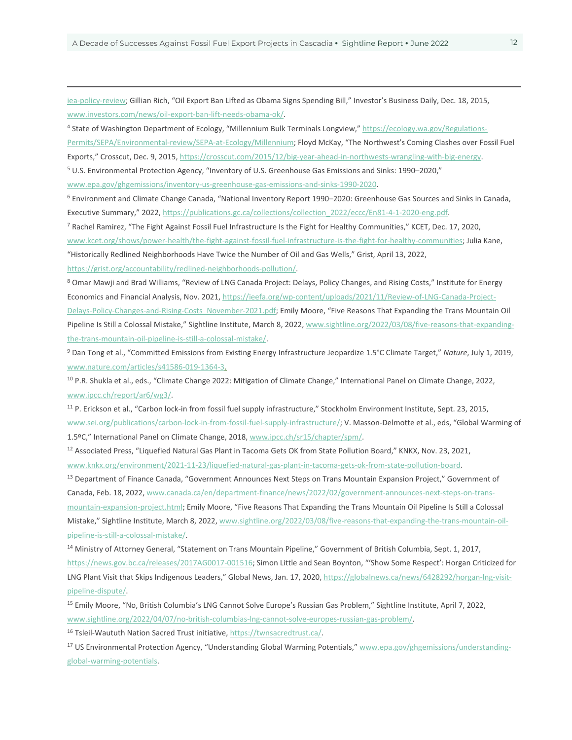[iea-policy-review;](http://www.iea.org/news/the-us-shale-revolution-has-reshaped-the-energy-landscape-at-home-and-abroad-according-to-latest-iea-policy-review) Gillian Rich, "Oil Export Ban Lifted as Obama Signs Spending Bill," Investor's Business Daily, Dec. 18, 2015, [www.investors.com/news/oil-export-ban-lift-needs-obama-ok/.](http://www.investors.com/news/oil-export-ban-lift-needs-obama-ok/)

<span id="page-11-0"></span>4 State of Washington Department of Ecology, "Millennium Bulk Terminals Longview,[" https://ecology.wa.gov/Regulations-](https://ecology.wa.gov/Regulations-Permits/SEPA/Environmental-review/SEPA-at-Ecology/Millennium)[Permits/SEPA/Environmental-review/SEPA-at-Ecology/Millennium;](https://ecology.wa.gov/Regulations-Permits/SEPA/Environmental-review/SEPA-at-Ecology/Millennium) Floyd McKay, "The Northwest's Coming Clashes over Fossil Fuel Exports," Crosscut, Dec. 9, 2015[, https://crosscut.com/2015/12/big-year-ahead-in-northwests-wrangling-with-big-energy.](https://crosscut.com/2015/12/big-year-ahead-in-northwests-wrangling-with-big-energy)

<span id="page-11-1"></span><sup>5</sup> U.S. Environmental Protection Agency, "Inventory of U.S. Greenhouse Gas Emissions and Sinks: 1990–2020,"

[www.epa.gov/ghgemissions/inventory-us-greenhouse-gas-emissions-and-sinks-1990-2020.](http://www.epa.gov/ghgemissions/inventory-us-greenhouse-gas-emissions-and-sinks-1990-2020)

<span id="page-11-2"></span><sup>6</sup> Environment and Climate Change Canada, "National Inventory Report 1990–2020: Greenhouse Gas Sources and Sinks in Canada, Executive Summary," 2022, https://publications.gc.ca/collections/collection 2022/eccc/En81-4-1-2020-eng.pdf.

<span id="page-11-3"></span><sup>7</sup> Rachel Ramirez, "The Fight Against Fossil Fuel Infrastructure Is the Fight for Healthy Communities," KCET, Dec. 17, 2020, [www.kcet.org/shows/power-health/the-fight-against-fossil-fuel-infrastructure-is-the-fight-for-healthy-communities;](http://www.kcet.org/shows/power-health/the-fight-against-fossil-fuel-infrastructure-is-the-fight-for-healthy-communities) Julia Kane, "Historically Redlined Neighborhoods Have Twice the Number of Oil and Gas Wells," Grist, April 13, 2022,

[https://grist.org/accountability/redlined-neighborhoods-pollution/.](https://grist.org/accountability/redlined-neighborhoods-pollution/)

 $\overline{a}$ 

<span id="page-11-4"></span>8 Omar Mawji and Brad Williams, "Review of LNG Canada Project: Delays, Policy Changes, and Rising Costs," Institute for Energy Economics and Financial Analysis, Nov. 2021[, https://ieefa.org/wp-content/uploads/2021/11/Review-of-LNG-Canada-Project-](https://ieefa.org/wp-content/uploads/2021/11/Review-of-LNG-Canada-Project-Delays-Policy-Changes-and-Rising-Costs_November-2021.pdf)[Delays-Policy-Changes-and-Rising-Costs\\_November-2021.pdf;](https://ieefa.org/wp-content/uploads/2021/11/Review-of-LNG-Canada-Project-Delays-Policy-Changes-and-Rising-Costs_November-2021.pdf) Emily Moore, "Five Reasons That Expanding the Trans Mountain Oil Pipeline Is Still a Colossal Mistake," Sightline Institute, March 8, 2022[, www.sightline.org/2022/03/08/five-reasons-that-expanding](http://www.sightline.org/2022/03/08/five-reasons-that-expanding-the-trans-mountain-oil-pipeline-is-still-a-colossal-mistake/)[the-trans-mountain-oil-pipeline-is-still-a-colossal-mistake/.](http://www.sightline.org/2022/03/08/five-reasons-that-expanding-the-trans-mountain-oil-pipeline-is-still-a-colossal-mistake/)

<span id="page-11-5"></span><sup>9</sup> Dan Tong et al., "Committed Emissions from Existing Energy Infrastructure Jeopardize 1.5°C Climate Target," *Nature*, July 1, 2019, www.nature.com/articles/s41586-019-1364-3.

<span id="page-11-6"></span><sup>10</sup> P.R. Shukla et al., eds., "Climate Change 2022: Mitigation of Climate Change," International Panel on Climate Change, 2022, [www.ipcc.ch/report/ar6/wg3/.](https://sightline4.sharepoint.com/Shared%20Documents/Staff%20Folders/Alan/Programs/Fossil%20Fuels/www.ipcc.ch/report/ar6/wg3/)

<span id="page-11-7"></span><sup>11</sup> P. Erickson et al., "Carbon lock-in from fossil fuel supply infrastructure," Stockholm Environment Institute, Sept. 23, 2015, [www.sei.org/publications/carbon-lock-in-from-fossil-fuel-supply-infrastructure/;](https://www.sei.org/publications/carbon-lock-in-from-fossil-fuel-supply-infrastructure/) V. Masson-Delmotte et al., eds, "Global Warming of 1.5ºC," International Panel on Climate Change, 2018[, www.ipcc.ch/sr15/chapter/spm/.](https://www.ipcc.ch/sr15/chapter/spm/)

<span id="page-11-8"></span><sup>12</sup> Associated Press, "Liquefied Natural Gas Plant in Tacoma Gets OK from State Pollution Board," KNKX, Nov. 23, 2021, [www.knkx.org/environment/2021-11-23/liquefied-natural-gas-plant-in-tacoma-gets-ok-from-state-pollution-board.](http://www.knkx.org/environment/2021-11-23/liquefied-natural-gas-plant-in-tacoma-gets-ok-from-state-pollution-board)

<span id="page-11-9"></span><sup>13</sup> Department of Finance Canada, "Government Announces Next Steps on Trans Mountain Expansion Project," Government of Canada, Feb. 18, 2022[, www.canada.ca/en/department-finance/news/2022/02/government-announces-next-steps-on-trans-](http://www.canada.ca/en/department-finance/news/2022/02/government-announces-next-steps-on-trans-mountain-expansion-project.html)

[mountain-expansion-project.html;](http://www.canada.ca/en/department-finance/news/2022/02/government-announces-next-steps-on-trans-mountain-expansion-project.html) Emily Moore, "Five Reasons That Expanding the Trans Mountain Oil Pipeline Is Still a Colossal Mistake," Sightline Institute, March 8, 2022, [www.sightline.org/2022/03/08/five-reasons-that-expanding-the-trans-mountain-oil](http://www.sightline.org/2022/03/08/five-reasons-that-expanding-the-trans-mountain-oil-pipeline-is-still-a-colossal-mistake/)[pipeline-is-still-a-colossal-mistake/.](http://www.sightline.org/2022/03/08/five-reasons-that-expanding-the-trans-mountain-oil-pipeline-is-still-a-colossal-mistake/)

<span id="page-11-10"></span><sup>14</sup> Ministry of Attorney General, "Statement on Trans Mountain Pipeline," Government of British Columbia, Sept. 1, 2017, [https://news.gov.bc.ca/releases/2017AG0017-001516;](https://news.gov.bc.ca/releases/2017AG0017-001516) Simon Little and Sean Boynton, "'Show Some Respect': Horgan Criticized for LNG Plant Visit that Skips Indigenous Leaders," Global News, Jan. 17, 2020[, https://globalnews.ca/news/6428292/horgan-lng-visit](https://globalnews.ca/news/6428292/horgan-lng-visit-pipeline-dispute/)[pipeline-dispute/.](https://globalnews.ca/news/6428292/horgan-lng-visit-pipeline-dispute/)

<span id="page-11-11"></span><sup>15</sup> Emily Moore, "No, British Columbia's LNG Cannot Solve Europe's Russian Gas Problem," Sightline Institute, April 7, 2022, [www.sightline.org/2022/04/07/no-british-columbias-lng-cannot-solve-europes-russian-gas-problem/.](http://www.sightline.org/2022/04/07/no-british-columbias-lng-cannot-solve-europes-russian-gas-problem/)

<span id="page-11-12"></span><sup>16</sup> Tsleil-Waututh Nation Sacred Trust initiative[, https://twnsacredtrust.ca/.](https://twnsacredtrust.ca/)

<span id="page-11-13"></span>17 US Environmental Protection Agency, "Understanding Global Warming Potentials," [www.epa.gov/ghgemissions/understanding](http://www.epa.gov/ghgemissions/understanding-global-warming-potentials)[global-warming-potentials.](http://www.epa.gov/ghgemissions/understanding-global-warming-potentials)